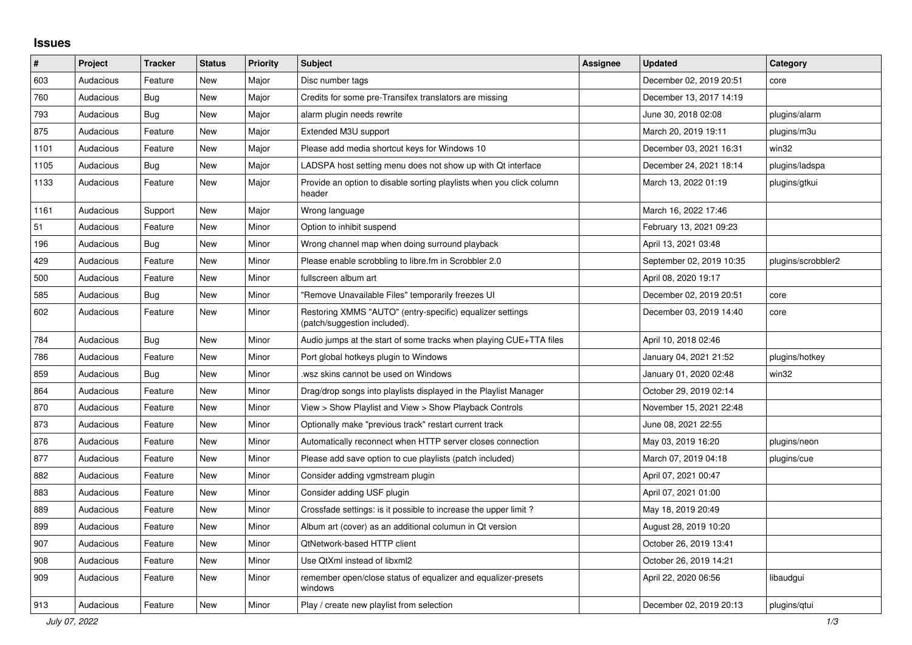## **Issues**

| $\vert$ # | Project   | <b>Tracker</b> | <b>Status</b> | <b>Priority</b> | <b>Subject</b>                                                                            | <b>Assignee</b> | <b>Updated</b>           | Category           |
|-----------|-----------|----------------|---------------|-----------------|-------------------------------------------------------------------------------------------|-----------------|--------------------------|--------------------|
| 603       | Audacious | Feature        | New           | Major           | Disc number tags                                                                          |                 | December 02, 2019 20:51  | core               |
| 760       | Audacious | Bug            | New           | Major           | Credits for some pre-Transifex translators are missing                                    |                 | December 13, 2017 14:19  |                    |
| 793       | Audacious | <b>Bug</b>     | <b>New</b>    | Major           | alarm plugin needs rewrite                                                                |                 | June 30, 2018 02:08      | plugins/alarm      |
| 875       | Audacious | Feature        | <b>New</b>    | Major           | Extended M3U support                                                                      |                 | March 20, 2019 19:11     | plugins/m3u        |
| 1101      | Audacious | Feature        | <b>New</b>    | Major           | Please add media shortcut keys for Windows 10                                             |                 | December 03, 2021 16:31  | win32              |
| 1105      | Audacious | <b>Bug</b>     | <b>New</b>    | Major           | LADSPA host setting menu does not show up with Qt interface                               |                 | December 24, 2021 18:14  | plugins/ladspa     |
| 1133      | Audacious | Feature        | New           | Major           | Provide an option to disable sorting playlists when you click column<br>header            |                 | March 13, 2022 01:19     | plugins/gtkui      |
| 1161      | Audacious | Support        | <b>New</b>    | Major           | Wrong language                                                                            |                 | March 16, 2022 17:46     |                    |
| 51        | Audacious | Feature        | New           | Minor           | Option to inhibit suspend                                                                 |                 | February 13, 2021 09:23  |                    |
| 196       | Audacious | <b>Bug</b>     | New           | Minor           | Wrong channel map when doing surround playback                                            |                 | April 13, 2021 03:48     |                    |
| 429       | Audacious | Feature        | <b>New</b>    | Minor           | Please enable scrobbling to libre.fm in Scrobbler 2.0                                     |                 | September 02, 2019 10:35 | plugins/scrobbler2 |
| 500       | Audacious | Feature        | <b>New</b>    | Minor           | fullscreen album art                                                                      |                 | April 08, 2020 19:17     |                    |
| 585       | Audacious | <b>Bug</b>     | New           | Minor           | "Remove Unavailable Files" temporarily freezes UI                                         |                 | December 02, 2019 20:51  | core               |
| 602       | Audacious | Feature        | <b>New</b>    | Minor           | Restoring XMMS "AUTO" (entry-specific) equalizer settings<br>(patch/suggestion included). |                 | December 03, 2019 14:40  | core               |
| 784       | Audacious | Bug            | New           | Minor           | Audio jumps at the start of some tracks when playing CUE+TTA files                        |                 | April 10, 2018 02:46     |                    |
| 786       | Audacious | Feature        | <b>New</b>    | Minor           | Port global hotkeys plugin to Windows                                                     |                 | January 04, 2021 21:52   | plugins/hotkey     |
| 859       | Audacious | Bug            | <b>New</b>    | Minor           | wsz skins cannot be used on Windows                                                       |                 | January 01, 2020 02:48   | win32              |
| 864       | Audacious | Feature        | New           | Minor           | Drag/drop songs into playlists displayed in the Playlist Manager                          |                 | October 29, 2019 02:14   |                    |
| 870       | Audacious | Feature        | New           | Minor           | View > Show Playlist and View > Show Playback Controls                                    |                 | November 15, 2021 22:48  |                    |
| 873       | Audacious | Feature        | <b>New</b>    | Minor           | Optionally make "previous track" restart current track                                    |                 | June 08, 2021 22:55      |                    |
| 876       | Audacious | Feature        | <b>New</b>    | Minor           | Automatically reconnect when HTTP server closes connection                                |                 | May 03, 2019 16:20       | plugins/neon       |
| 877       | Audacious | Feature        | <b>New</b>    | Minor           | Please add save option to cue playlists (patch included)                                  |                 | March 07, 2019 04:18     | plugins/cue        |
| 882       | Audacious | Feature        | <b>New</b>    | Minor           | Consider adding vgmstream plugin                                                          |                 | April 07, 2021 00:47     |                    |
| 883       | Audacious | Feature        | <b>New</b>    | Minor           | Consider adding USF plugin                                                                |                 | April 07, 2021 01:00     |                    |
| 889       | Audacious | Feature        | New           | Minor           | Crossfade settings: is it possible to increase the upper limit?                           |                 | May 18, 2019 20:49       |                    |
| 899       | Audacious | Feature        | New           | Minor           | Album art (cover) as an additional columun in Qt version                                  |                 | August 28, 2019 10:20    |                    |
| 907       | Audacious | Feature        | New           | Minor           | <b>QtNetwork-based HTTP client</b>                                                        |                 | October 26, 2019 13:41   |                    |
| 908       | Audacious | Feature        | New           | Minor           | Use QtXml instead of libxml2                                                              |                 | October 26, 2019 14:21   |                    |
| 909       | Audacious | Feature        | New           | Minor           | remember open/close status of equalizer and equalizer-presets<br>windows                  |                 | April 22, 2020 06:56     | libaudgui          |
| 913       | Audacious | Feature        | <b>New</b>    | Minor           | Play / create new playlist from selection                                                 |                 | December 02, 2019 20:13  | plugins/qtui       |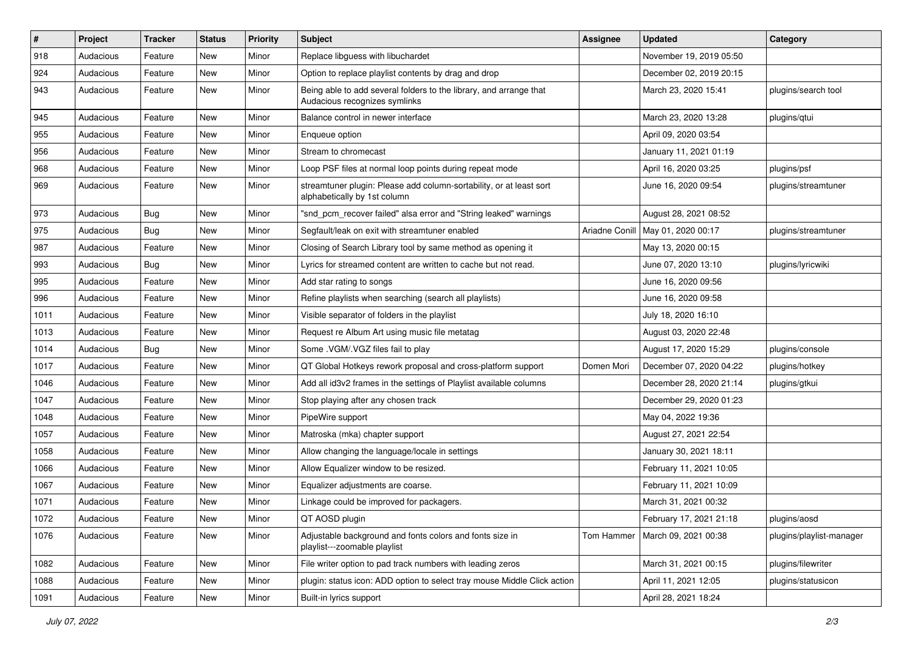| $\vert$ # | Project   | <b>Tracker</b> | <b>Status</b> | <b>Priority</b> | <b>Subject</b>                                                                                      | <b>Assignee</b> | <b>Updated</b>                      | Category                 |
|-----------|-----------|----------------|---------------|-----------------|-----------------------------------------------------------------------------------------------------|-----------------|-------------------------------------|--------------------------|
| 918       | Audacious | Feature        | New           | Minor           | Replace libguess with libuchardet                                                                   |                 | November 19, 2019 05:50             |                          |
| 924       | Audacious | Feature        | New           | Minor           | Option to replace playlist contents by drag and drop                                                |                 | December 02, 2019 20:15             |                          |
| 943       | Audacious | Feature        | New           | Minor           | Being able to add several folders to the library, and arrange that<br>Audacious recognizes symlinks |                 | March 23, 2020 15:41                | plugins/search tool      |
| 945       | Audacious | Feature        | New           | Minor           | Balance control in newer interface                                                                  |                 | March 23, 2020 13:28                | plugins/qtui             |
| 955       | Audacious | Feature        | New           | Minor           | Enqueue option                                                                                      |                 | April 09, 2020 03:54                |                          |
| 956       | Audacious | Feature        | <b>New</b>    | Minor           | Stream to chromecast                                                                                |                 | January 11, 2021 01:19              |                          |
| 968       | Audacious | Feature        | New           | Minor           | Loop PSF files at normal loop points during repeat mode                                             |                 | April 16, 2020 03:25                | plugins/psf              |
| 969       | Audacious | Feature        | New           | Minor           | streamtuner plugin: Please add column-sortability, or at least sort<br>alphabetically by 1st column |                 | June 16, 2020 09:54                 | plugins/streamtuner      |
| 973       | Audacious | Bug            | New           | Minor           | "snd_pcm_recover failed" alsa error and "String leaked" warnings                                    |                 | August 28, 2021 08:52               |                          |
| 975       | Audacious | <b>Bug</b>     | <b>New</b>    | Minor           | Segfault/leak on exit with streamtuner enabled                                                      |                 | Ariadne Conill   May 01, 2020 00:17 | plugins/streamtuner      |
| 987       | Audacious | Feature        | New           | Minor           | Closing of Search Library tool by same method as opening it                                         |                 | May 13, 2020 00:15                  |                          |
| 993       | Audacious | Bug            | New           | Minor           | Lyrics for streamed content are written to cache but not read.                                      |                 | June 07, 2020 13:10                 | plugins/lyricwiki        |
| 995       | Audacious | Feature        | New           | Minor           | Add star rating to songs                                                                            |                 | June 16, 2020 09:56                 |                          |
| 996       | Audacious | Feature        | New           | Minor           | Refine playlists when searching (search all playlists)                                              |                 | June 16, 2020 09:58                 |                          |
| 1011      | Audacious | Feature        | New           | Minor           | Visible separator of folders in the playlist                                                        |                 | July 18, 2020 16:10                 |                          |
| 1013      | Audacious | Feature        | New           | Minor           | Request re Album Art using music file metatag                                                       |                 | August 03, 2020 22:48               |                          |
| 1014      | Audacious | Bug            | New           | Minor           | Some .VGM/.VGZ files fail to play                                                                   |                 | August 17, 2020 15:29               | plugins/console          |
| 1017      | Audacious | Feature        | <b>New</b>    | Minor           | QT Global Hotkeys rework proposal and cross-platform support                                        | Domen Mori      | December 07, 2020 04:22             | plugins/hotkey           |
| 1046      | Audacious | Feature        | New           | Minor           | Add all id3v2 frames in the settings of Playlist available columns                                  |                 | December 28, 2020 21:14             | plugins/gtkui            |
| 1047      | Audacious | Feature        | New           | Minor           | Stop playing after any chosen track                                                                 |                 | December 29, 2020 01:23             |                          |
| 1048      | Audacious | Feature        | New           | Minor           | PipeWire support                                                                                    |                 | May 04, 2022 19:36                  |                          |
| 1057      | Audacious | Feature        | New           | Minor           | Matroska (mka) chapter support                                                                      |                 | August 27, 2021 22:54               |                          |
| 1058      | Audacious | Feature        | New           | Minor           | Allow changing the language/locale in settings                                                      |                 | January 30, 2021 18:11              |                          |
| 1066      | Audacious | Feature        | New           | Minor           | Allow Equalizer window to be resized.                                                               |                 | February 11, 2021 10:05             |                          |
| 1067      | Audacious | Feature        | New           | Minor           | Equalizer adjustments are coarse.                                                                   |                 | February 11, 2021 10:09             |                          |
| 1071      | Audacious | Feature        | New           | Minor           | Linkage could be improved for packagers.                                                            |                 | March 31, 2021 00:32                |                          |
| 1072      | Audacious | Feature        | New           | Minor           | QT AOSD plugin                                                                                      |                 | February 17, 2021 21:18             | plugins/aosd             |
| 1076      | Audacious | Feature        | New           | Minor           | Adjustable background and fonts colors and fonts size in<br>playlist---zoomable playlist            | Tom Hammer      | March 09, 2021 00:38                | plugins/playlist-manager |
| 1082      | Audacious | Feature        | New           | Minor           | File writer option to pad track numbers with leading zeros                                          |                 | March 31, 2021 00:15                | plugins/filewriter       |
| 1088      | Audacious | Feature        | New           | Minor           | plugin: status icon: ADD option to select tray mouse Middle Click action                            |                 | April 11, 2021 12:05                | plugins/statusicon       |
| 1091      | Audacious | Feature        | New           | Minor           | Built-in lyrics support                                                                             |                 | April 28, 2021 18:24                |                          |